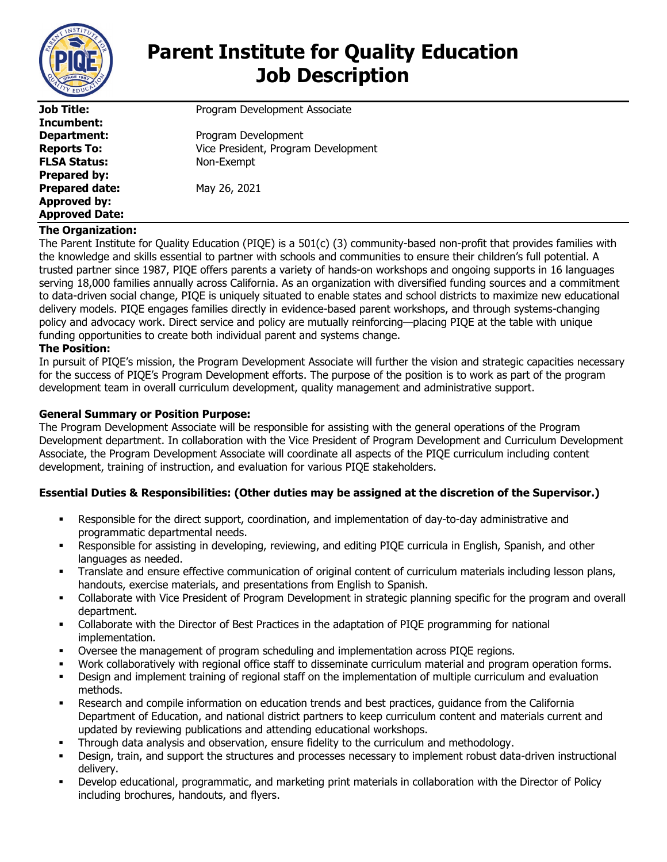

# **Parent Institute for Quality Education Job Description**

| Job Title:<br>Program Development Associate               |  |
|-----------------------------------------------------------|--|
| Incumbent:                                                |  |
| Program Development<br>Department:                        |  |
| Vice President, Program Development<br><b>Reports To:</b> |  |
| <b>FLSA Status:</b><br>Non-Exempt                         |  |
| <b>Prepared by:</b>                                       |  |
| <b>Prepared date:</b><br>May 26, 2021                     |  |
| Approved by:                                              |  |
| <b>Approved Date:</b>                                     |  |

# **The Organization:**

The Parent Institute for Quality Education (PIQE) is a 501(c) (3) community-based non-profit that provides families with the knowledge and skills essential to partner with schools and communities to ensure their children's full potential. A trusted partner since 1987, PIQE offers parents a variety of hands-on workshops and ongoing supports in 16 languages serving 18,000 families annually across California. As an organization with diversified funding sources and a commitment to data-driven social change, PIQE is uniquely situated to enable states and school districts to maximize new educational delivery models. PIQE engages families directly in evidence-based parent workshops, and through systems-changing policy and advocacy work. Direct service and policy are mutually reinforcing—placing PIQE at the table with unique funding opportunities to create both individual parent and systems change.

# **The Position:**

In pursuit of PIQE's mission, the Program Development Associate will further the vision and strategic capacities necessary for the success of PIQE's Program Development efforts. The purpose of the position is to work as part of the program development team in overall curriculum development, quality management and administrative support.

# **General Summary or Position Purpose:**

The Program Development Associate will be responsible for assisting with the general operations of the Program Development department. In collaboration with the Vice President of Program Development and Curriculum Development Associate, the Program Development Associate will coordinate all aspects of the PIQE curriculum including content development, training of instruction, and evaluation for various PIQE stakeholders.

# **Essential Duties & Responsibilities: (Other duties may be assigned at the discretion of the Supervisor.)**

- Responsible for the direct support, coordination, and implementation of day-to-day administrative and programmatic departmental needs.
- Responsible for assisting in developing, reviewing, and editing PIQE curricula in English, Spanish, and other languages as needed.
- Translate and ensure effective communication of original content of curriculum materials including lesson plans, handouts, exercise materials, and presentations from English to Spanish.
- Collaborate with Vice President of Program Development in strategic planning specific for the program and overall department.
- Collaborate with the Director of Best Practices in the adaptation of PIQE programming for national implementation.
- Oversee the management of program scheduling and implementation across PIQE regions.
- Work collaboratively with regional office staff to disseminate curriculum material and program operation forms.
- Design and implement training of regional staff on the implementation of multiple curriculum and evaluation methods.
- Research and compile information on education trends and best practices, guidance from the California Department of Education, and national district partners to keep curriculum content and materials current and updated by reviewing publications and attending educational workshops.
- Through data analysis and observation, ensure fidelity to the curriculum and methodology.
- Design, train, and support the structures and processes necessary to implement robust data-driven instructional delivery.
- Develop educational, programmatic, and marketing print materials in collaboration with the Director of Policy including brochures, handouts, and flyers.